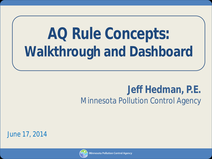# **AQ Rule Concepts: Walkthrough and Dashboard**

#### **Jeff Hedman, P.E.** Minnesota Pollution Control Agency

June 17, 2014

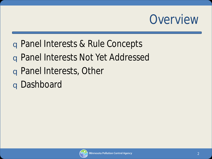### **Overview**

- q Panel Interests & Rule Concepts
- q Panel Interests Not Yet Addressed
- q Panel Interests, Other
- q Dashboard

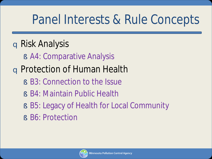### Panel Interests & Rule Concepts

#### q Risk Analysis

§ A4: Comparative Analysis

### q Protection of Human Health

- § B3: Connection to the Issue
- § B4: Maintain Public Health
- § B5: Legacy of Health for Local Community
- § B6: Protection

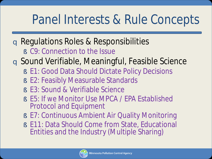### Panel Interests & Rule Concepts

- q Regulations Roles & Responsibilities
	- § C9: Connection to the Issue
- q Sound Verifiable, Meaningful, Feasible Science
	- § E1: Good Data Should Dictate Policy Decisions
	- § E2: Feasibly Measurable Standards
	- § E3: Sound & Verifiable Science
	- § E5: If we Monitor Use MPCA / EPA Established Protocol and Equipment
	- § E7: Continuous Ambient Air Quality Monitoring
	- § E11: Data Should Come from State, Educational Entities and the Industry (Multiple Sharing)

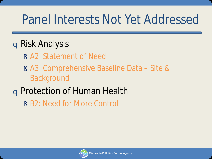### Panel Interests Not Yet Addressed

#### q Risk Analysis

- § A2: Statement of Need
- § A3: Comprehensive Baseline Data Site & Background

#### q Protection of Human Health

§ B2: Need for More Control

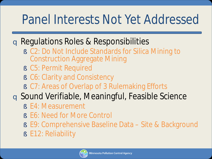### Panel Interests Not Yet Addressed

#### q Regulations Roles & Responsibilities

- § C2: Do Not Include Standards for Silica Mining to Construction Aggregate Mining
- § C5: Permit Required
- § C6: Clarity and Consistency
- § C7: Areas of Overlap of 3 Rulemaking Efforts

#### q Sound Verifiable, Meaningful, Feasible Science

- § E4: Measurement
- § E6: Need for More Control
- § E9: Comprehensive Baseline Data Site & Background
- § E12: Reliability

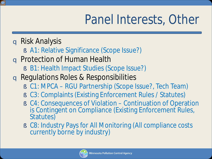## Panel Interests, Other

- q Risk Analysis
	- § A1: Relative Significance (Scope Issue?)
- q Protection of Human Health
	- § B1: Health Impact Studies (Scope Issue?)
- q Regulations Roles & Responsibilities
	- § C1: MPCA RGU Partnership (Scope Issue?, Tech Team)
	- § C3: Complaints (Existing Enforcement Rules / Statutes)
	- § C4: Consequences of Violation Continuation of Operation is Contingent on Compliance (Existing Enforcement Rules, Statutes)
	- § C8: Industry Pays for All Monitoring (All compliance costs currently borne by industry)

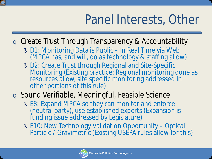## Panel Interests, Other

**q** Create Trust Through Transparency & Accountability

- § D1: Monitoring Data is Public In Real Time via Web (MPCA has, and will, do as technology & staffing allow)
- § D2: Create Trust through Regional and Site-Specific Monitoring (Existing practice: Regional monitoring done as resources allow, site specific monitoring addressed in other portions of this rule)

#### q Sound Verifiable, Meaningful, Feasible Science

- § E8: Expand MPCA so they can monitor and enforce (neutral party), use established experts (Expansion is funding issue addressed by Legislature)
- § E10: New Technology Validation Opportunity Optical Particle / Gravimetric (Existing USEPA rules allow for this)